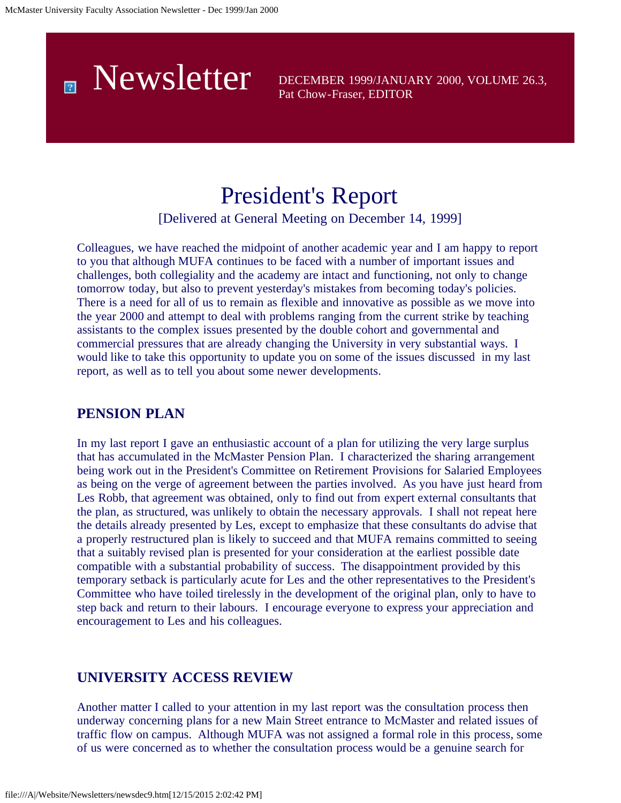

Pat Chow-Fraser, EDITOR

# President's Report

[Delivered at General Meeting on December 14, 1999]

Colleagues, we have reached the midpoint of another academic year and I am happy to report to you that although MUFA continues to be faced with a number of important issues and challenges, both collegiality and the academy are intact and functioning, not only to change tomorrow today, but also to prevent yesterday's mistakes from becoming today's policies. There is a need for all of us to remain as flexible and innovative as possible as we move into the year 2000 and attempt to deal with problems ranging from the current strike by teaching assistants to the complex issues presented by the double cohort and governmental and commercial pressures that are already changing the University in very substantial ways. I would like to take this opportunity to update you on some of the issues discussed in my last report, as well as to tell you about some newer developments.

### **PENSION PLAN**

In my last report I gave an enthusiastic account of a plan for utilizing the very large surplus that has accumulated in the McMaster Pension Plan. I characterized the sharing arrangement being work out in the President's Committee on Retirement Provisions for Salaried Employees as being on the verge of agreement between the parties involved. As you have just heard from Les Robb, that agreement was obtained, only to find out from expert external consultants that the plan, as structured, was unlikely to obtain the necessary approvals. I shall not repeat here the details already presented by Les, except to emphasize that these consultants do advise that a properly restructured plan is likely to succeed and that MUFA remains committed to seeing that a suitably revised plan is presented for your consideration at the earliest possible date compatible with a substantial probability of success. The disappointment provided by this temporary setback is particularly acute for Les and the other representatives to the President's Committee who have toiled tirelessly in the development of the original plan, only to have to step back and return to their labours. I encourage everyone to express your appreciation and encouragement to Les and his colleagues.

### **UNIVERSITY ACCESS REVIEW**

Another matter I called to your attention in my last report was the consultation process then underway concerning plans for a new Main Street entrance to McMaster and related issues of traffic flow on campus. Although MUFA was not assigned a formal role in this process, some of us were concerned as to whether the consultation process would be a genuine search for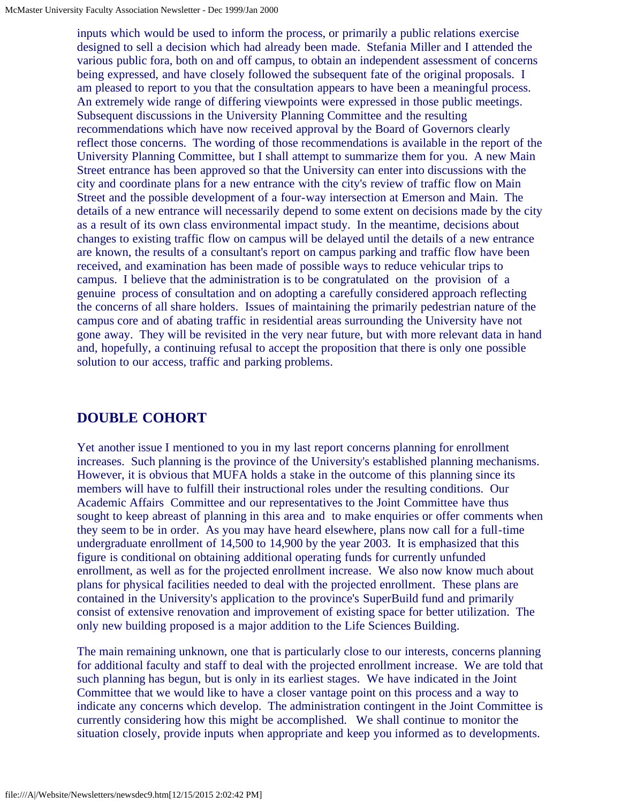inputs which would be used to inform the process, or primarily a public relations exercise designed to sell a decision which had already been made. Stefania Miller and I attended the various public fora, both on and off campus, to obtain an independent assessment of concerns being expressed, and have closely followed the subsequent fate of the original proposals. I am pleased to report to you that the consultation appears to have been a meaningful process. An extremely wide range of differing viewpoints were expressed in those public meetings. Subsequent discussions in the University Planning Committee and the resulting recommendations which have now received approval by the Board of Governors clearly reflect those concerns. The wording of those recommendations is available in the report of the University Planning Committee, but I shall attempt to summarize them for you. A new Main Street entrance has been approved so that the University can enter into discussions with the city and coordinate plans for a new entrance with the city's review of traffic flow on Main Street and the possible development of a four-way intersection at Emerson and Main. The details of a new entrance will necessarily depend to some extent on decisions made by the city as a result of its own class environmental impact study. In the meantime, decisions about changes to existing traffic flow on campus will be delayed until the details of a new entrance are known, the results of a consultant's report on campus parking and traffic flow have been received, and examination has been made of possible ways to reduce vehicular trips to campus. I believe that the administration is to be congratulated on the provision of a genuine process of consultation and on adopting a carefully considered approach reflecting the concerns of all share holders. Issues of maintaining the primarily pedestrian nature of the campus core and of abating traffic in residential areas surrounding the University have not gone away. They will be revisited in the very near future, but with more relevant data in hand and, hopefully, a continuing refusal to accept the proposition that there is only one possible solution to our access, traffic and parking problems.

### **DOUBLE COHORT**

Yet another issue I mentioned to you in my last report concerns planning for enrollment increases. Such planning is the province of the University's established planning mechanisms. However, it is obvious that MUFA holds a stake in the outcome of this planning since its members will have to fulfill their instructional roles under the resulting conditions. Our Academic Affairs Committee and our representatives to the Joint Committee have thus sought to keep abreast of planning in this area and to make enquiries or offer comments when they seem to be in order. As you may have heard elsewhere, plans now call for a full-time undergraduate enrollment of 14,500 to 14,900 by the year 2003. It is emphasized that this figure is conditional on obtaining additional operating funds for currently unfunded enrollment, as well as for the projected enrollment increase. We also now know much about plans for physical facilities needed to deal with the projected enrollment. These plans are contained in the University's application to the province's SuperBuild fund and primarily consist of extensive renovation and improvement of existing space for better utilization. The only new building proposed is a major addition to the Life Sciences Building.

The main remaining unknown, one that is particularly close to our interests, concerns planning for additional faculty and staff to deal with the projected enrollment increase. We are told that such planning has begun, but is only in its earliest stages. We have indicated in the Joint Committee that we would like to have a closer vantage point on this process and a way to indicate any concerns which develop. The administration contingent in the Joint Committee is currently considering how this might be accomplished. We shall continue to monitor the situation closely, provide inputs when appropriate and keep you informed as to developments.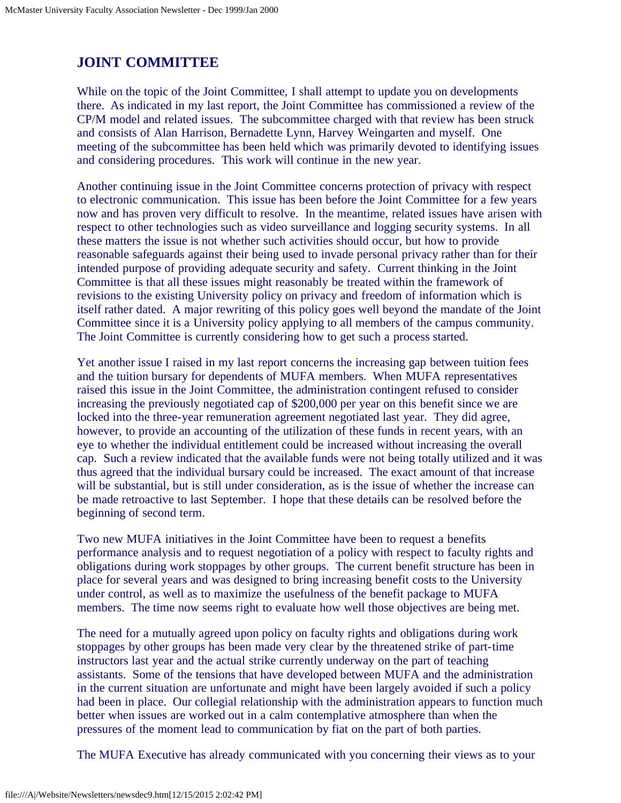## **JOINT COMMITTEE**

While on the topic of the Joint Committee, I shall attempt to update you on developments there. As indicated in my last report, the Joint Committee has commissioned a review of the CP/M model and related issues. The subcommittee charged with that review has been struck and consists of Alan Harrison, Bernadette Lynn, Harvey Weingarten and myself. One meeting of the subcommittee has been held which was primarily devoted to identifying issues and considering procedures. This work will continue in the new year.

Another continuing issue in the Joint Committee concerns protection of privacy with respect to electronic communication. This issue has been before the Joint Committee for a few years now and has proven very difficult to resolve. In the meantime, related issues have arisen with respect to other technologies such as video surveillance and logging security systems. In all these matters the issue is not whether such activities should occur, but how to provide reasonable safeguards against their being used to invade personal privacy rather than for their intended purpose of providing adequate security and safety. Current thinking in the Joint Committee is that all these issues might reasonably be treated within the framework of revisions to the existing University policy on privacy and freedom of information which is itself rather dated. A major rewriting of this policy goes well beyond the mandate of the Joint Committee since it is a University policy applying to all members of the campus community. The Joint Committee is currently considering how to get such a process started.

Yet another issue I raised in my last report concerns the increasing gap between tuition fees and the tuition bursary for dependents of MUFA members. When MUFA representatives raised this issue in the Joint Committee, the administration contingent refused to consider increasing the previously negotiated cap of \$200,000 per year on this benefit since we are locked into the three-year remuneration agreement negotiated last year. They did agree, however, to provide an accounting of the utilization of these funds in recent years, with an eye to whether the individual entitlement could be increased without increasing the overall cap. Such a review indicated that the available funds were not being totally utilized and it was thus agreed that the individual bursary could be increased. The exact amount of that increase will be substantial, but is still under consideration, as is the issue of whether the increase can be made retroactive to last September. I hope that these details can be resolved before the beginning of second term.

Two new MUFA initiatives in the Joint Committee have been to request a benefits performance analysis and to request negotiation of a policy with respect to faculty rights and obligations during work stoppages by other groups. The current benefit structure has been in place for several years and was designed to bring increasing benefit costs to the University under control, as well as to maximize the usefulness of the benefit package to MUFA members. The time now seems right to evaluate how well those objectives are being met.

The need for a mutually agreed upon policy on faculty rights and obligations during work stoppages by other groups has been made very clear by the threatened strike of part-time instructors last year and the actual strike currently underway on the part of teaching assistants. Some of the tensions that have developed between MUFA and the administration in the current situation are unfortunate and might have been largely avoided if such a policy had been in place. Our collegial relationship with the administration appears to function much better when issues are worked out in a calm contemplative atmosphere than when the pressures of the moment lead to communication by fiat on the part of both parties.

The MUFA Executive has already communicated with you concerning their views as to your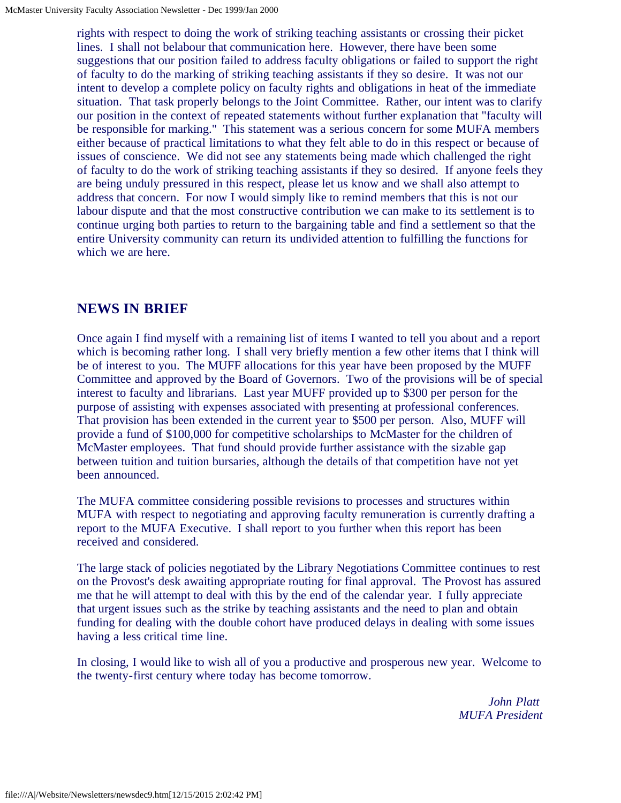rights with respect to doing the work of striking teaching assistants or crossing their picket lines. I shall not belabour that communication here. However, there have been some suggestions that our position failed to address faculty obligations or failed to support the right of faculty to do the marking of striking teaching assistants if they so desire. It was not our intent to develop a complete policy on faculty rights and obligations in heat of the immediate situation. That task properly belongs to the Joint Committee. Rather, our intent was to clarify our position in the context of repeated statements without further explanation that "faculty will be responsible for marking." This statement was a serious concern for some MUFA members either because of practical limitations to what they felt able to do in this respect or because of issues of conscience. We did not see any statements being made which challenged the right of faculty to do the work of striking teaching assistants if they so desired. If anyone feels they are being unduly pressured in this respect, please let us know and we shall also attempt to address that concern. For now I would simply like to remind members that this is not our labour dispute and that the most constructive contribution we can make to its settlement is to continue urging both parties to return to the bargaining table and find a settlement so that the entire University community can return its undivided attention to fulfilling the functions for which we are here.

## **NEWS IN BRIEF**

Once again I find myself with a remaining list of items I wanted to tell you about and a report which is becoming rather long. I shall very briefly mention a few other items that I think will be of interest to you. The MUFF allocations for this year have been proposed by the MUFF Committee and approved by the Board of Governors. Two of the provisions will be of special interest to faculty and librarians. Last year MUFF provided up to \$300 per person for the purpose of assisting with expenses associated with presenting at professional conferences. That provision has been extended in the current year to \$500 per person. Also, MUFF will provide a fund of \$100,000 for competitive scholarships to McMaster for the children of McMaster employees. That fund should provide further assistance with the sizable gap between tuition and tuition bursaries, although the details of that competition have not yet been announced.

The MUFA committee considering possible revisions to processes and structures within MUFA with respect to negotiating and approving faculty remuneration is currently drafting a report to the MUFA Executive. I shall report to you further when this report has been received and considered.

The large stack of policies negotiated by the Library Negotiations Committee continues to rest on the Provost's desk awaiting appropriate routing for final approval. The Provost has assured me that he will attempt to deal with this by the end of the calendar year. I fully appreciate that urgent issues such as the strike by teaching assistants and the need to plan and obtain funding for dealing with the double cohort have produced delays in dealing with some issues having a less critical time line.

In closing, I would like to wish all of you a productive and prosperous new year. Welcome to the twenty-first century where today has become tomorrow.

> *John Platt MUFA President*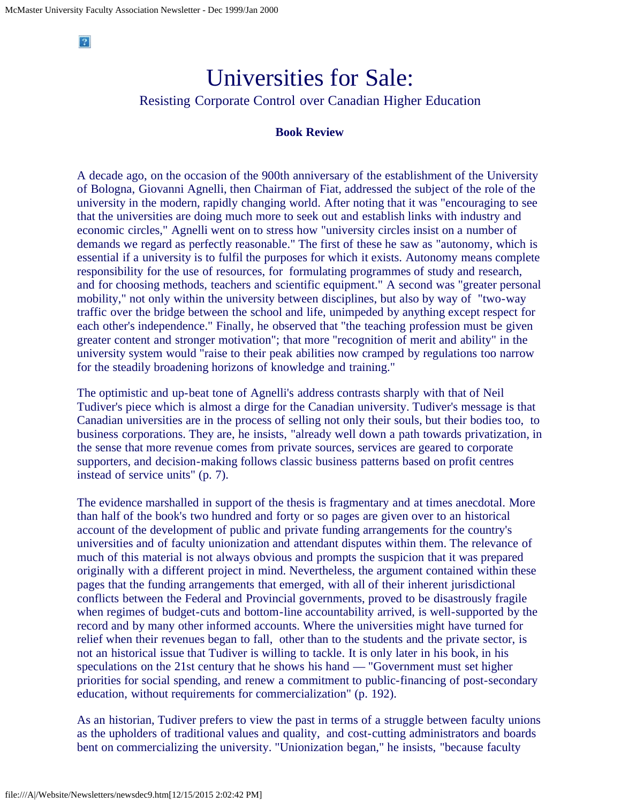$|2|$ 

# Universities for Sale:

### Resisting Corporate Control over Canadian Higher Education

#### **Book Review**

A decade ago, on the occasion of the 900th anniversary of the establishment of the University of Bologna, Giovanni Agnelli, then Chairman of Fiat, addressed the subject of the role of the university in the modern, rapidly changing world. After noting that it was "encouraging to see that the universities are doing much more to seek out and establish links with industry and economic circles," Agnelli went on to stress how "university circles insist on a number of demands we regard as perfectly reasonable." The first of these he saw as "autonomy, which is essential if a university is to fulfil the purposes for which it exists. Autonomy means complete responsibility for the use of resources, for formulating programmes of study and research, and for choosing methods, teachers and scientific equipment." A second was "greater personal mobility," not only within the university between disciplines, but also by way of "two-way traffic over the bridge between the school and life, unimpeded by anything except respect for each other's independence." Finally, he observed that "the teaching profession must be given greater content and stronger motivation"; that more "recognition of merit and ability" in the university system would "raise to their peak abilities now cramped by regulations too narrow for the steadily broadening horizons of knowledge and training."

The optimistic and up-beat tone of Agnelli's address contrasts sharply with that of Neil Tudiver's piece which is almost a dirge for the Canadian university. Tudiver's message is that Canadian universities are in the process of selling not only their souls, but their bodies too, to business corporations. They are, he insists, "already well down a path towards privatization, in the sense that more revenue comes from private sources, services are geared to corporate supporters, and decision-making follows classic business patterns based on profit centres instead of service units" (p. 7).

The evidence marshalled in support of the thesis is fragmentary and at times anecdotal. More than half of the book's two hundred and forty or so pages are given over to an historical account of the development of public and private funding arrangements for the country's universities and of faculty unionization and attendant disputes within them. The relevance of much of this material is not always obvious and prompts the suspicion that it was prepared originally with a different project in mind. Nevertheless, the argument contained within these pages that the funding arrangements that emerged, with all of their inherent jurisdictional conflicts between the Federal and Provincial governments, proved to be disastrously fragile when regimes of budget-cuts and bottom-line accountability arrived, is well-supported by the record and by many other informed accounts. Where the universities might have turned for relief when their revenues began to fall, other than to the students and the private sector, is not an historical issue that Tudiver is willing to tackle. It is only later in his book, in his speculations on the 21st century that he shows his hand — "Government must set higher priorities for social spending, and renew a commitment to public-financing of post-secondary education, without requirements for commercialization" (p. 192).

As an historian, Tudiver prefers to view the past in terms of a struggle between faculty unions as the upholders of traditional values and quality, and cost-cutting administrators and boards bent on commercializing the university. "Unionization began," he insists, "because faculty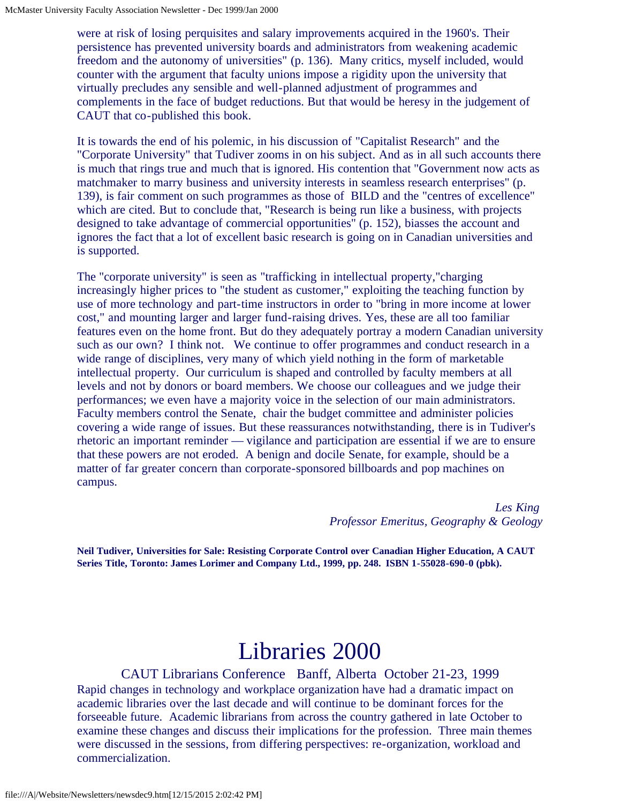were at risk of losing perquisites and salary improvements acquired in the 1960's. Their persistence has prevented university boards and administrators from weakening academic freedom and the autonomy of universities" (p. 136). Many critics, myself included, would counter with the argument that faculty unions impose a rigidity upon the university that virtually precludes any sensible and well-planned adjustment of programmes and complements in the face of budget reductions. But that would be heresy in the judgement of CAUT that co-published this book.

It is towards the end of his polemic, in his discussion of "Capitalist Research" and the "Corporate University" that Tudiver zooms in on his subject. And as in all such accounts there is much that rings true and much that is ignored. His contention that "Government now acts as matchmaker to marry business and university interests in seamless research enterprises" (p. 139), is fair comment on such programmes as those of BILD and the "centres of excellence" which are cited. But to conclude that, "Research is being run like a business, with projects designed to take advantage of commercial opportunities" (p. 152), biasses the account and ignores the fact that a lot of excellent basic research is going on in Canadian universities and is supported.

The "corporate university" is seen as "trafficking in intellectual property,"charging increasingly higher prices to "the student as customer," exploiting the teaching function by use of more technology and part-time instructors in order to "bring in more income at lower cost," and mounting larger and larger fund-raising drives. Yes, these are all too familiar features even on the home front. But do they adequately portray a modern Canadian university such as our own? I think not. We continue to offer programmes and conduct research in a wide range of disciplines, very many of which yield nothing in the form of marketable intellectual property. Our curriculum is shaped and controlled by faculty members at all levels and not by donors or board members. We choose our colleagues and we judge their performances; we even have a majority voice in the selection of our main administrators. Faculty members control the Senate, chair the budget committee and administer policies covering a wide range of issues. But these reassurances notwithstanding, there is in Tudiver's rhetoric an important reminder — vigilance and participation are essential if we are to ensure that these powers are not eroded. A benign and docile Senate, for example, should be a matter of far greater concern than corporate-sponsored billboards and pop machines on campus.

> *Les King Professor Emeritus, Geography & Geology*

**Neil Tudiver, Universities for Sale: Resisting Corporate Control over Canadian Higher Education, A CAUT Series Title, Toronto: James Lorimer and Company Ltd., 1999, pp. 248. ISBN 1-55028-690-0 (pbk).**

# Libraries 2000

CAUT Librarians Conference Banff, Alberta October 21-23, 1999 Rapid changes in technology and workplace organization have had a dramatic impact on academic libraries over the last decade and will continue to be dominant forces for the forseeable future. Academic librarians from across the country gathered in late October to examine these changes and discuss their implications for the profession. Three main themes were discussed in the sessions, from differing perspectives: re-organization, workload and commercialization.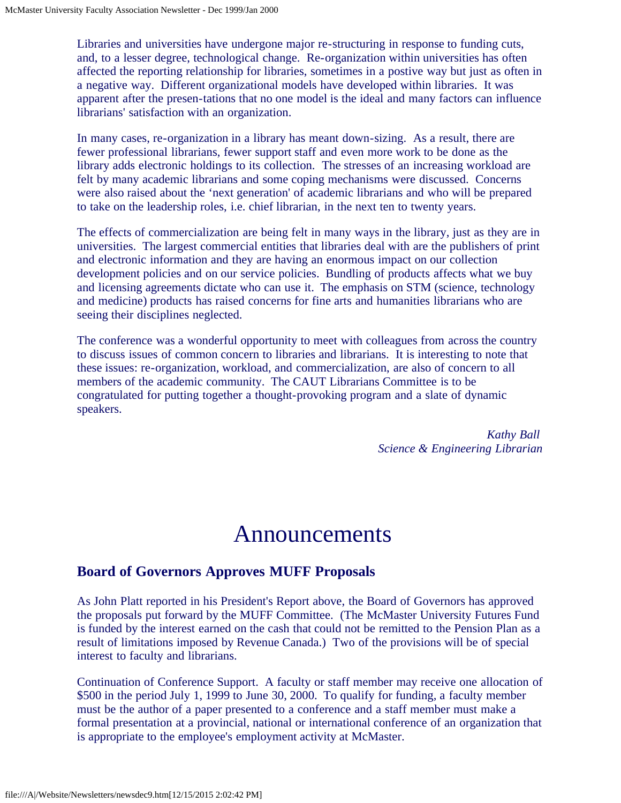Libraries and universities have undergone major re-structuring in response to funding cuts, and, to a lesser degree, technological change. Re-organization within universities has often affected the reporting relationship for libraries, sometimes in a postive way but just as often in a negative way. Different organizational models have developed within libraries. It was apparent after the presen-tations that no one model is the ideal and many factors can influence librarians' satisfaction with an organization.

In many cases, re-organization in a library has meant down-sizing. As a result, there are fewer professional librarians, fewer support staff and even more work to be done as the library adds electronic holdings to its collection. The stresses of an increasing workload are felt by many academic librarians and some coping mechanisms were discussed. Concerns were also raised about the 'next generation' of academic librarians and who will be prepared to take on the leadership roles, i.e. chief librarian, in the next ten to twenty years.

The effects of commercialization are being felt in many ways in the library, just as they are in universities. The largest commercial entities that libraries deal with are the publishers of print and electronic information and they are having an enormous impact on our collection development policies and on our service policies. Bundling of products affects what we buy and licensing agreements dictate who can use it. The emphasis on STM (science, technology and medicine) products has raised concerns for fine arts and humanities librarians who are seeing their disciplines neglected.

The conference was a wonderful opportunity to meet with colleagues from across the country to discuss issues of common concern to libraries and librarians. It is interesting to note that these issues: re-organization, workload, and commercialization, are also of concern to all members of the academic community. The CAUT Librarians Committee is to be congratulated for putting together a thought-provoking program and a slate of dynamic speakers.

> *Kathy Ball Science & Engineering Librarian*

## Announcements

### **Board of Governors Approves MUFF Proposals**

As John Platt reported in his President's Report above, the Board of Governors has approved the proposals put forward by the MUFF Committee. (The McMaster University Futures Fund is funded by the interest earned on the cash that could not be remitted to the Pension Plan as a result of limitations imposed by Revenue Canada.) Two of the provisions will be of special interest to faculty and librarians.

Continuation of Conference Support. A faculty or staff member may receive one allocation of \$500 in the period July 1, 1999 to June 30, 2000. To qualify for funding, a faculty member must be the author of a paper presented to a conference and a staff member must make a formal presentation at a provincial, national or international conference of an organization that is appropriate to the employee's employment activity at McMaster.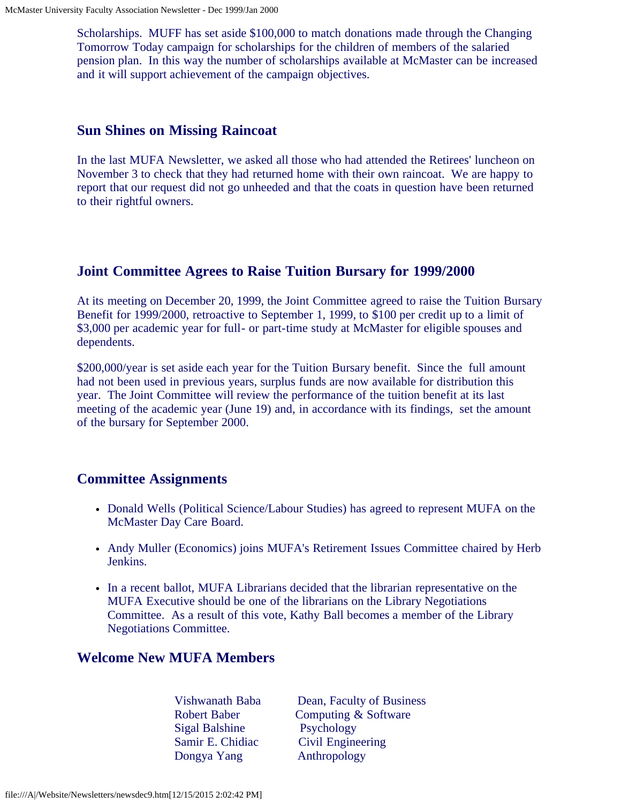Scholarships. MUFF has set aside \$100,000 to match donations made through the Changing Tomorrow Today campaign for scholarships for the children of members of the salaried pension plan. In this way the number of scholarships available at McMaster can be increased and it will support achievement of the campaign objectives.

### **Sun Shines on Missing Raincoat**

In the last MUFA Newsletter, we asked all those who had attended the Retirees' luncheon on November 3 to check that they had returned home with their own raincoat. We are happy to report that our request did not go unheeded and that the coats in question have been returned to their rightful owners.

### **Joint Committee Agrees to Raise Tuition Bursary for 1999/2000**

At its meeting on December 20, 1999, the Joint Committee agreed to raise the Tuition Bursary Benefit for 1999/2000, retroactive to September 1, 1999, to \$100 per credit up to a limit of \$3,000 per academic year for full- or part-time study at McMaster for eligible spouses and dependents.

\$200,000/year is set aside each year for the Tuition Bursary benefit. Since the full amount had not been used in previous years, surplus funds are now available for distribution this year. The Joint Committee will review the performance of the tuition benefit at its last meeting of the academic year (June 19) and, in accordance with its findings, set the amount of the bursary for September 2000.

### **Committee Assignments**

- Donald Wells (Political Science/Labour Studies) has agreed to represent MUFA on the McMaster Day Care Board.
- Andy Muller (Economics) joins MUFA's Retirement Issues Committee chaired by Herb Jenkins.
- In a recent ballot, MUFA Librarians decided that the librarian representative on the MUFA Executive should be one of the librarians on the Library Negotiations Committee. As a result of this vote, Kathy Ball becomes a member of the Library Negotiations Committee.

### **Welcome New MUFA Members**

- Sigal Balshine Psychology Dongya Yang Anthropology
- Vishwanath Baba Dean, Faculty of Business Robert Baber Computing & Software Samir E. Chidiac Civil Engineering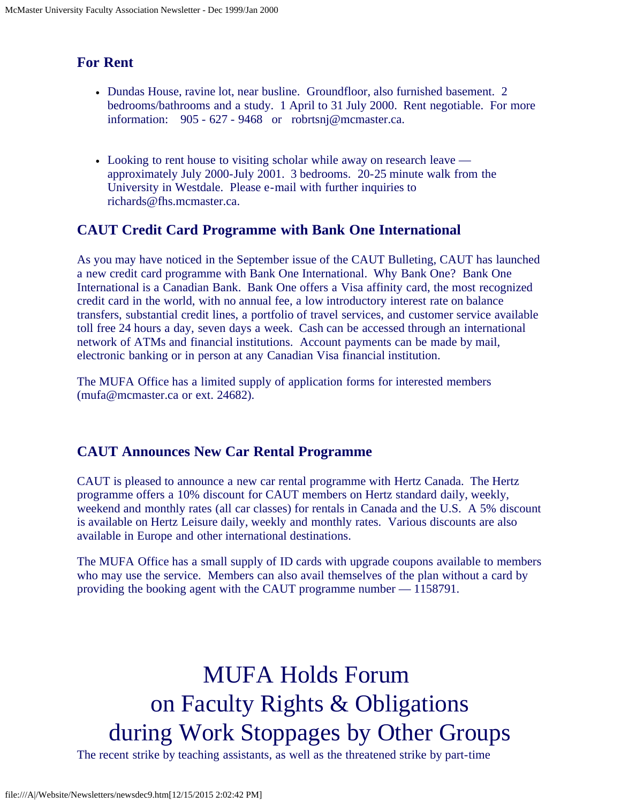## **For Rent**

- Dundas House, ravine lot, near busline. Groundfloor, also furnished basement. 2 bedrooms/bathrooms and a study. 1 April to 31 July 2000. Rent negotiable. For more information: 905 - 627 - 9468 or robrtsnj@mcmaster.ca.
- Looking to rent house to visiting scholar while away on research leave approximately July 2000-July 2001. 3 bedrooms. 20-25 minute walk from the University in Westdale. Please e-mail with further inquiries to richards@fhs.mcmaster.ca.

### **CAUT Credit Card Programme with Bank One International**

As you may have noticed in the September issue of the CAUT Bulleting, CAUT has launched a new credit card programme with Bank One International. Why Bank One? Bank One International is a Canadian Bank. Bank One offers a Visa affinity card, the most recognized credit card in the world, with no annual fee, a low introductory interest rate on balance transfers, substantial credit lines, a portfolio of travel services, and customer service available toll free 24 hours a day, seven days a week. Cash can be accessed through an international network of ATMs and financial institutions. Account payments can be made by mail, electronic banking or in person at any Canadian Visa financial institution.

The MUFA Office has a limited supply of application forms for interested members (mufa@mcmaster.ca or ext. 24682).

### **CAUT Announces New Car Rental Programme**

CAUT is pleased to announce a new car rental programme with Hertz Canada. The Hertz programme offers a 10% discount for CAUT members on Hertz standard daily, weekly, weekend and monthly rates (all car classes) for rentals in Canada and the U.S. A 5% discount is available on Hertz Leisure daily, weekly and monthly rates. Various discounts are also available in Europe and other international destinations.

The MUFA Office has a small supply of ID cards with upgrade coupons available to members who may use the service. Members can also avail themselves of the plan without a card by providing the booking agent with the CAUT programme number — 1158791.

# MUFA Holds Forum on Faculty Rights & Obligations during Work Stoppages by Other Groups

The recent strike by teaching assistants, as well as the threatened strike by part-time